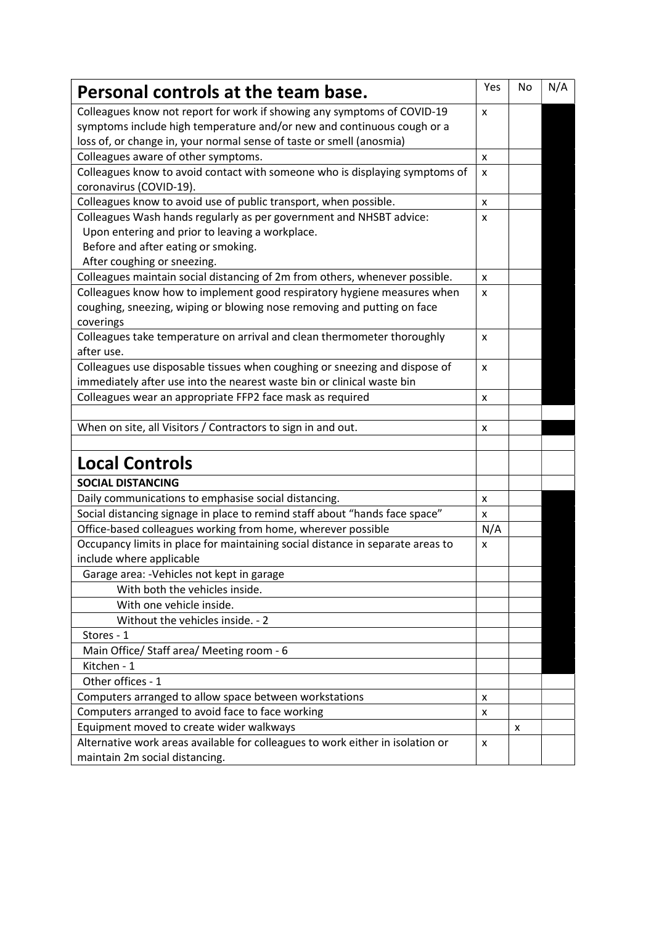| Personal controls at the team base.                                            | Yes | No | N/A |
|--------------------------------------------------------------------------------|-----|----|-----|
| Colleagues know not report for work if showing any symptoms of COVID-19        | X   |    |     |
| symptoms include high temperature and/or new and continuous cough or a         |     |    |     |
| loss of, or change in, your normal sense of taste or smell (anosmia)           |     |    |     |
| Colleagues aware of other symptoms.                                            | X   |    |     |
| Colleagues know to avoid contact with someone who is displaying symptoms of    | X   |    |     |
| coronavirus (COVID-19).                                                        |     |    |     |
| Colleagues know to avoid use of public transport, when possible.               | X   |    |     |
| Colleagues Wash hands regularly as per government and NHSBT advice:            | X   |    |     |
| Upon entering and prior to leaving a workplace.                                |     |    |     |
| Before and after eating or smoking.                                            |     |    |     |
| After coughing or sneezing.                                                    |     |    |     |
| Colleagues maintain social distancing of 2m from others, whenever possible.    | X   |    |     |
| Colleagues know how to implement good respiratory hygiene measures when        | X   |    |     |
| coughing, sneezing, wiping or blowing nose removing and putting on face        |     |    |     |
| coverings                                                                      |     |    |     |
| Colleagues take temperature on arrival and clean thermometer thoroughly        | X   |    |     |
| after use.                                                                     |     |    |     |
| Colleagues use disposable tissues when coughing or sneezing and dispose of     | X   |    |     |
| immediately after use into the nearest waste bin or clinical waste bin         |     |    |     |
| Colleagues wear an appropriate FFP2 face mask as required                      | X   |    |     |
|                                                                                |     |    |     |
| When on site, all Visitors / Contractors to sign in and out.                   | x   |    |     |
|                                                                                |     |    |     |
| <b>Local Controls</b>                                                          |     |    |     |
| <b>SOCIAL DISTANCING</b>                                                       |     |    |     |
| Daily communications to emphasise social distancing.                           | X   |    |     |
| Social distancing signage in place to remind staff about "hands face space"    | X   |    |     |
| Office-based colleagues working from home, wherever possible                   | N/A |    |     |
| Occupancy limits in place for maintaining social distance in separate areas to | X   |    |     |
| include where applicable                                                       |     |    |     |
| Garage area: - Vehicles not kept in garage                                     |     |    |     |
| With both the vehicles inside.                                                 |     |    |     |
| With one vehicle inside.                                                       |     |    |     |
| Without the vehicles inside. - 2                                               |     |    |     |
| Stores - 1                                                                     |     |    |     |
| Main Office/ Staff area/ Meeting room - 6                                      |     |    |     |
| Kitchen - 1                                                                    |     |    |     |
| Other offices - 1                                                              |     |    |     |
| Computers arranged to allow space between workstations                         | X   |    |     |
| Computers arranged to avoid face to face working                               | X   |    |     |
| Equipment moved to create wider walkways                                       |     | x  |     |
| Alternative work areas available for colleagues to work either in isolation or | X   |    |     |
| maintain 2m social distancing.                                                 |     |    |     |